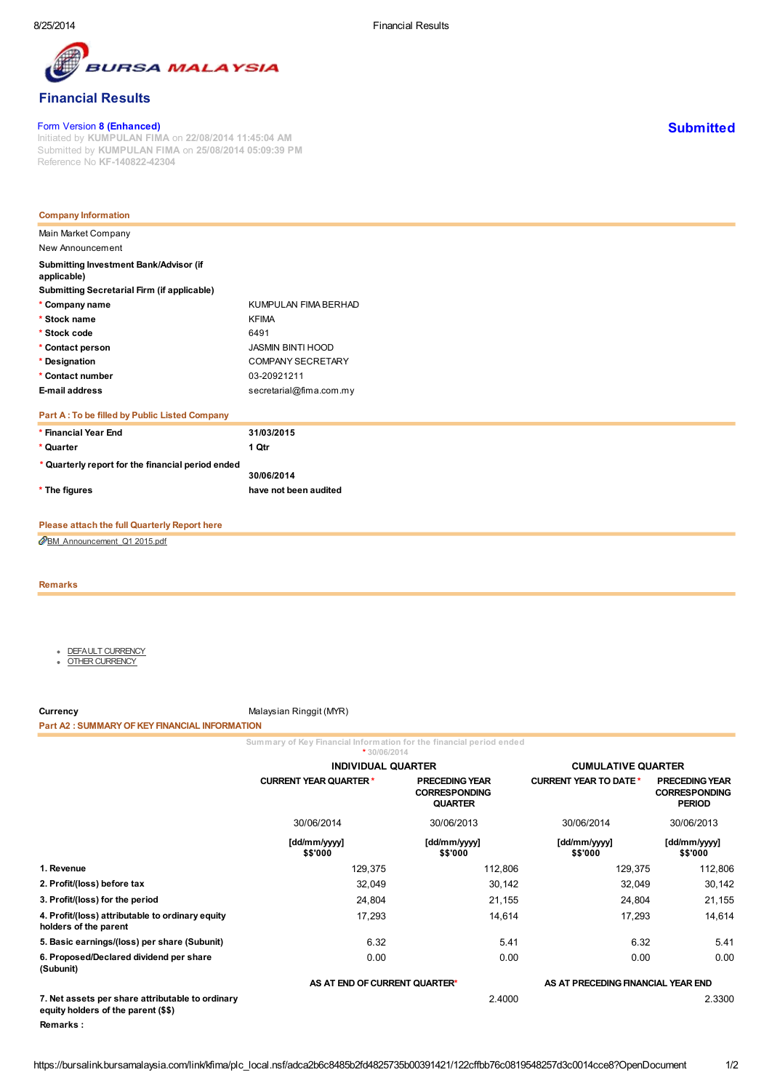

# **7SA MALAYSIA**

# Financial Results

#### Form Version 8 (Enhanced)

Initiated by KUMPULAN FIMA on 22/08/2014 11:45:04 AM Submitted by KUMPULAN FIMA on 25/08/2014 05:09:39 PM Reference No KF-140822-42304

| <b>Company Information</b>                            |                          |
|-------------------------------------------------------|--------------------------|
| Main Market Company                                   |                          |
| New Announcement                                      |                          |
| Submitting Investment Bank/Advisor (if<br>applicable) |                          |
| <b>Submitting Secretarial Firm (if applicable)</b>    |                          |
| * Company name                                        | KUMPULAN FIMA BERHAD     |
| * Stock name                                          | <b>KFIMA</b>             |
| * Stock code                                          | 6491                     |
| * Contact person                                      | <b>JASMIN BINTI HOOD</b> |
| * Designation                                         | COMPANY SECRETARY        |
| * Contact number                                      | 03-20921211              |
| E-mail address                                        | secretarial@fima.com.my  |
| Part A: To be filled by Public Listed Company         |                          |
| * Financial Year End                                  | 31/03/2015               |
| * Quarter                                             | 1 Qtr                    |
| * Quarterly report for the financial period ended     | 30/06/2014               |
| * The figures                                         | have not been audited    |

## Please attach the full Quarterly Report here

[BM\\_Announcement\\_Q1](https://bursalink.bursamalaysia.com/link/kfima/plc_local.nsf/all/122CFFBB76C0819548257D3C0014CCE8/$File/BM_Announcement_Q1%202015.pdf) 2015.pdf

#### Remarks

- DEFAULT [CURRENCY](javascript:fncShowTab(1);)
- $\ddot{\phantom{0}}$ OTHER [CURRENCY](javascript:fncShowTab(2);)

Currency Currency Malaysian Ringgit (MYR)

#### Part A2 : SUMMARY OF KEY FINANCIAL INFORMATION

Summary of Key Financial Information for the financial period ended

|                                                                                         | $*30/06/2014$                 |                                                                 |                                    |                                                                |  |
|-----------------------------------------------------------------------------------------|-------------------------------|-----------------------------------------------------------------|------------------------------------|----------------------------------------------------------------|--|
|                                                                                         | <b>INDIVIDUAL QUARTER</b>     |                                                                 | <b>CUMULATIVE QUARTER</b>          |                                                                |  |
|                                                                                         | <b>CURRENT YEAR QUARTER *</b> | <b>PRECEDING YEAR</b><br><b>CORRESPONDING</b><br><b>QUARTER</b> |                                    | <b>PRECEDING YEAR</b><br><b>CORRESPONDING</b><br><b>PERIOD</b> |  |
|                                                                                         | 30/06/2014                    | 30/06/2013                                                      | 30/06/2014                         | 30/06/2013                                                     |  |
|                                                                                         | [dd/mm/yyyy]<br>\$\$'000      | [dd/mm/yyyy]<br>\$\$'000                                        | [dd/mm/yyyy]<br>\$\$'000           | [dd/mm/yyyy]<br>\$\$'000                                       |  |
| 1. Revenue                                                                              | 129,375                       | 112,806                                                         | 129,375                            | 112,806                                                        |  |
| 2. Profit/(loss) before tax                                                             | 32,049                        | 30,142                                                          | 32,049                             | 30,142                                                         |  |
| 3. Profit/(loss) for the period                                                         | 24,804                        | 21,155                                                          | 24,804                             | 21,155                                                         |  |
| 4. Profit/(loss) attributable to ordinary equity<br>holders of the parent               | 17,293                        | 14,614                                                          | 17,293                             | 14,614                                                         |  |
| 5. Basic earnings/(loss) per share (Subunit)                                            | 6.32                          | 5.41                                                            | 6.32                               | 5.41                                                           |  |
| 6. Proposed/Declared dividend per share<br>(Subunit)                                    | 0.00                          | 0.00                                                            | 0.00                               | 0.00                                                           |  |
|                                                                                         | AS AT END OF CURRENT QUARTER* |                                                                 | AS AT PRECEDING FINANCIAL YEAR END |                                                                |  |
| 7. Net assets per share attributable to ordinary<br>equity holders of the parent (\$\$) |                               | 2.4000                                                          |                                    | 2.3300                                                         |  |
| <b>Remarks:</b>                                                                         |                               |                                                                 |                                    |                                                                |  |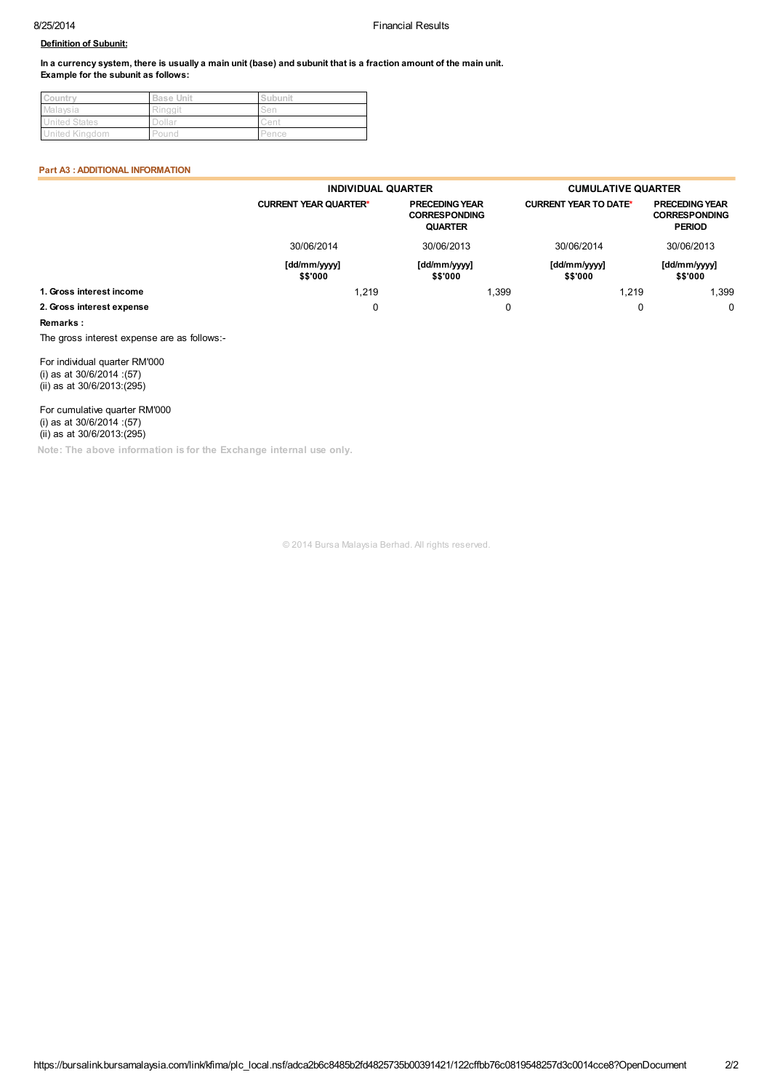#### Definition of Subunit:

In a currency system, there is usually a main unit (base) and subunit that is a fraction amount of the main unit. Example for the subunit as follows:

| Country              | <b>Base Unit</b> | Subunit |
|----------------------|------------------|---------|
| Malaysia             | Ringgit          | Sen     |
| <b>United States</b> | Dollar           | Cent    |
| United Kingdom       | Pound            | Pence   |

#### Part A3 : ADDITIONAL INFORMATION

|                           | <b>INDIVIDUAL QUARTER</b>    |                                                                 | <b>CUMULATIVE QUARTER</b>    |                                                                |  |  |
|---------------------------|------------------------------|-----------------------------------------------------------------|------------------------------|----------------------------------------------------------------|--|--|
|                           | <b>CURRENT YEAR QUARTER*</b> | <b>PRECEDING YEAR</b><br><b>CORRESPONDING</b><br><b>QUARTER</b> | <b>CURRENT YEAR TO DATE*</b> | <b>PRECEDING YEAR</b><br><b>CORRESPONDING</b><br><b>PERIOD</b> |  |  |
|                           | 30/06/2014                   | 30/06/2013                                                      | 30/06/2014                   | 30/06/2013                                                     |  |  |
|                           | [dd/mm/yyyy]<br>\$\$'000     | [dd/mm/yyyy]<br>\$\$'000                                        | [dd/mm/yyyy]<br>\$\$'000     | [dd/mm/yyyy]<br>\$\$'000                                       |  |  |
| 1. Gross interest income  | 1.219                        | l.399                                                           | 1.219                        | 1,399                                                          |  |  |
| 2. Gross interest expense | 0                            | 0                                                               |                              | $\Omega$                                                       |  |  |

#### Remarks :

The gross interest expense are as follows:-

For individual quarter RM'000 (i) as at 30/6/2014 :(57) (ii) as at 30/6/2013:(295)

For cumulative quarter RM'000 (i) as at 30/6/2014 :(57) (ii) as at 30/6/2013:(295)

Note: The above information is for the Exchange internal use only.

© 2014 Bursa Malaysia Berhad. All rights reserved.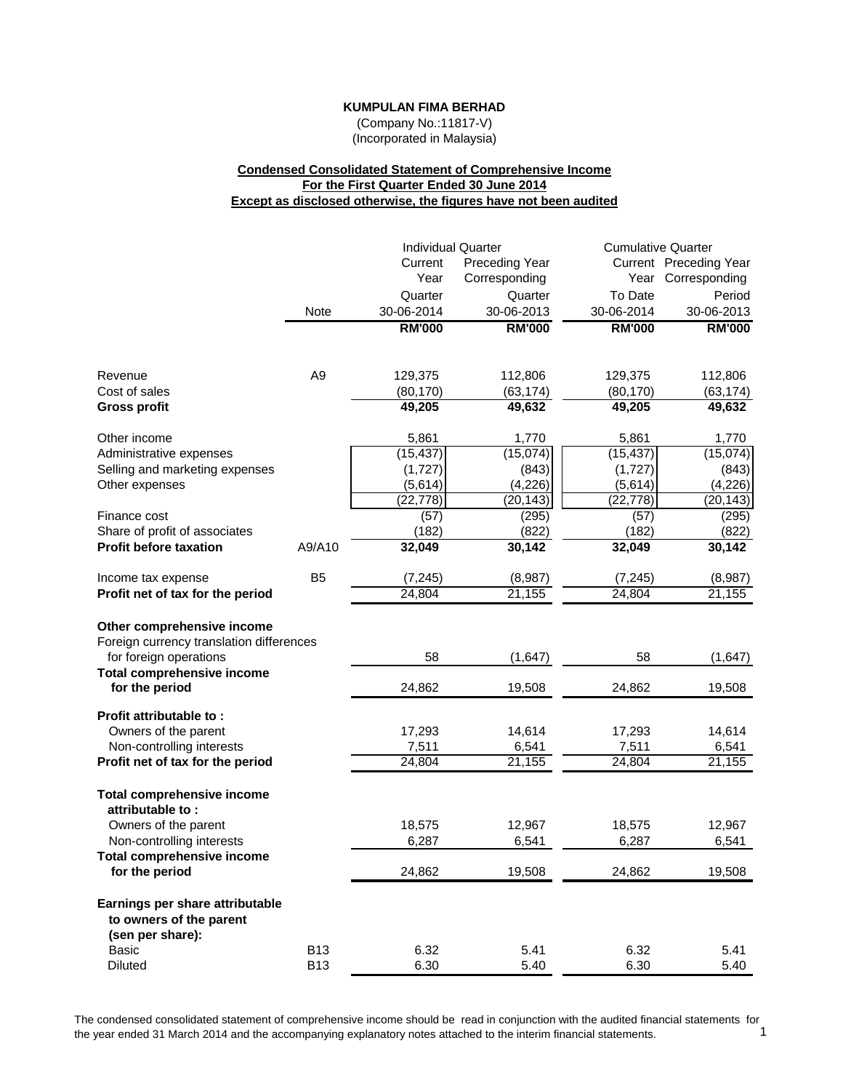(Company No.:11817-V) (Incorporated in Malaysia)

# **Condensed Consolidated Statement of Comprehensive Income For the First Quarter Ended 30 June 2014 Except as disclosed otherwise, the figures have not been audited**

|                                                                                                                                       |                | <b>Individual Quarter</b> |                       | <b>Cumulative Quarter</b> |                        |
|---------------------------------------------------------------------------------------------------------------------------------------|----------------|---------------------------|-----------------------|---------------------------|------------------------|
|                                                                                                                                       |                | Current                   | <b>Preceding Year</b> |                           | Current Preceding Year |
|                                                                                                                                       |                | Year                      | Corresponding         |                           | Year Corresponding     |
|                                                                                                                                       |                | Quarter                   | Quarter               | To Date                   | Period                 |
|                                                                                                                                       | Note           | 30-06-2014                | 30-06-2013            | 30-06-2014                | 30-06-2013             |
|                                                                                                                                       |                | <b>RM'000</b>             | <b>RM'000</b>         | <b>RM'000</b>             | <b>RM'000</b>          |
| Revenue                                                                                                                               | A <sub>9</sub> | 129,375                   | 112,806               | 129,375                   | 112,806                |
| Cost of sales                                                                                                                         |                | (80, 170)                 | (63, 174)             | (80, 170)                 | (63, 174)              |
| <b>Gross profit</b>                                                                                                                   |                | 49,205                    | 49,632                | 49,205                    | 49,632                 |
| Other income                                                                                                                          |                | 5,861                     | 1,770                 | 5,861                     | 1,770                  |
| Administrative expenses                                                                                                               |                | (15, 437)                 | (15,074)              | (15, 437)                 | (15,074)               |
| Selling and marketing expenses                                                                                                        |                | (1,727)                   | (843)                 | (1,727)                   | (843)                  |
| Other expenses                                                                                                                        |                | (5,614)                   | (4,226)               | (5,614)                   | (4, 226)               |
| Finance cost                                                                                                                          |                | (22, 778)<br>(57)         | (20, 143)<br>(295)    | (22, 778)<br>(57)         | (20, 143)<br>(295)     |
| Share of profit of associates                                                                                                         |                | (182)                     | (822)                 | (182)                     | (822)                  |
| <b>Profit before taxation</b>                                                                                                         | A9/A10         | 32,049                    | 30,142                | 32,049                    | 30,142                 |
| Income tax expense                                                                                                                    | B <sub>5</sub> | (7, 245)                  | (8,987)               | (7, 245)                  | (8,987)                |
| Profit net of tax for the period                                                                                                      |                | 24,804                    | 21,155                | 24,804                    | 21,155                 |
| Other comprehensive income<br>Foreign currency translation differences<br>for foreign operations<br><b>Total comprehensive income</b> |                | 58                        | (1,647)               | 58                        | (1,647)                |
| for the period                                                                                                                        |                | 24,862                    | 19,508                | 24,862                    | 19,508                 |
| Profit attributable to:<br>Owners of the parent<br>Non-controlling interests                                                          |                | 17,293<br>7,511           | 14,614<br>6,541       | 17,293<br>7,511           | 14,614<br>6,541        |
| Profit net of tax for the period                                                                                                      |                | 24,804                    | 21,155                | 24,804                    | 21,155                 |
| <b>Total comprehensive income</b><br>attributable to:                                                                                 |                |                           |                       |                           |                        |
| Owners of the parent                                                                                                                  |                | 18,575<br>6,287           | 12,967<br>6,541       | 18,575<br>6,287           | 12,967                 |
| Non-controlling interests<br><b>Total comprehensive income</b>                                                                        |                |                           |                       |                           | 6,541                  |
| for the period                                                                                                                        |                | 24,862                    | 19,508                | 24,862                    | 19,508                 |
| Earnings per share attributable<br>to owners of the parent<br>(sen per share):                                                        |                |                           |                       |                           |                        |
| Basic                                                                                                                                 | <b>B13</b>     | 6.32                      | 5.41                  | 6.32                      | 5.41                   |
| <b>Diluted</b>                                                                                                                        | <b>B13</b>     | 6.30                      | 5.40                  | 6.30                      | 5.40                   |

The condensed consolidated statement of comprehensive income should be read in conjunction with the audited financial statements for the vear ended 31 March 2014 and the accompanying explanatory notes attached to the inter the year ended 31 March 2014 and the accompanying explanatory notes attached to the interim financial statements. 1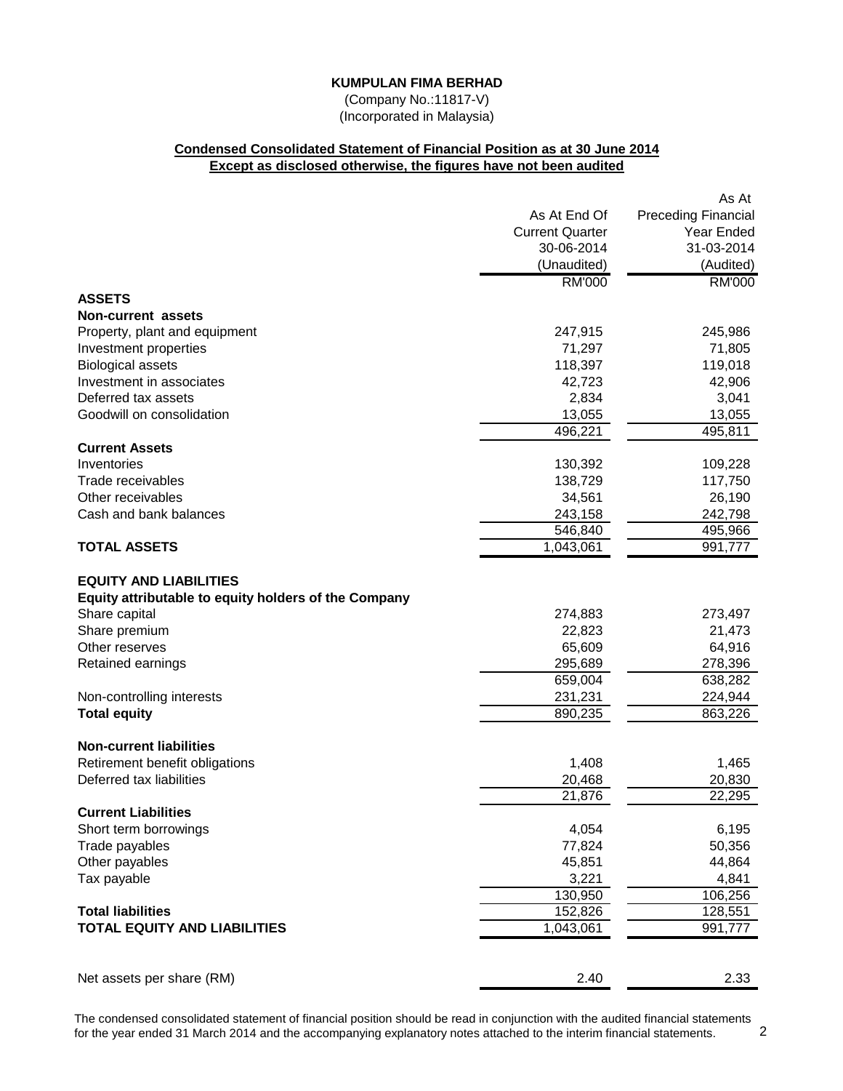(Company No.:11817-V) (Incorporated in Malaysia)

## **Condensed Consolidated Statement of Financial Position as at 30 June 2014 Except as disclosed otherwise, the figures have not been audited**

|                                                      |                        | As At                      |
|------------------------------------------------------|------------------------|----------------------------|
|                                                      | As At End Of           | <b>Preceding Financial</b> |
|                                                      | <b>Current Quarter</b> | Year Ended                 |
|                                                      | 30-06-2014             | 31-03-2014                 |
|                                                      | (Unaudited)            | (Audited)                  |
|                                                      | <b>RM'000</b>          | <b>RM'000</b>              |
| <b>ASSETS</b>                                        |                        |                            |
| Non-current assets                                   |                        |                            |
| Property, plant and equipment                        | 247,915                | 245,986                    |
| Investment properties                                | 71,297                 | 71,805                     |
| <b>Biological assets</b>                             | 118,397                | 119,018                    |
| Investment in associates                             | 42,723                 | 42,906                     |
| Deferred tax assets                                  | 2,834                  | 3,041                      |
| Goodwill on consolidation                            | 13,055                 | 13,055                     |
|                                                      | 496,221                | 495,811                    |
| <b>Current Assets</b>                                |                        |                            |
| Inventories                                          | 130,392                | 109,228                    |
| Trade receivables                                    | 138,729                | 117,750                    |
| Other receivables                                    | 34,561                 | 26,190                     |
| Cash and bank balances                               | 243,158                | 242,798                    |
|                                                      | 546,840                | 495,966                    |
| <b>TOTAL ASSETS</b>                                  | 1,043,061              | 991,777                    |
|                                                      |                        |                            |
| <b>EQUITY AND LIABILITIES</b>                        |                        |                            |
| Equity attributable to equity holders of the Company |                        |                            |
| Share capital                                        | 274,883                | 273,497                    |
| Share premium                                        | 22,823                 | 21,473                     |
| Other reserves                                       | 65,609                 | 64,916                     |
| Retained earnings                                    | 295,689                | 278,396                    |
|                                                      | 659,004                | 638,282                    |
| Non-controlling interests                            | 231,231                | 224,944                    |
| <b>Total equity</b>                                  | 890,235                | 863,226                    |
|                                                      |                        |                            |
| <b>Non-current liabilities</b>                       |                        |                            |
| Retirement benefit obligations                       | 1,408                  | 1,465                      |
| Deferred tax liabilities                             | 20,468                 | 20,830                     |
|                                                      | 21,876                 | 22,295                     |
| <b>Current Liabilities</b>                           |                        |                            |
| Short term borrowings                                | 4,054                  | 6,195                      |
| Trade payables                                       | 77,824                 | 50,356                     |
| Other payables                                       | 45,851                 | 44,864                     |
| Tax payable                                          | 3,221                  | 4,841                      |
|                                                      | 130,950                | 106,256                    |
| <b>Total liabilities</b>                             | 152,826                | 128,551                    |
| <b>TOTAL EQUITY AND LIABILITIES</b>                  | 1,043,061              | 991,777                    |
|                                                      |                        |                            |
|                                                      |                        |                            |
| Net assets per share (RM)                            | 2.40                   | 2.33                       |

The condensed consolidated statement of financial position should be read in conjunction with the audited financial statements for the year ended 31 March 2014 and the accompanying explanatory notes attached to the interim financial statements. 2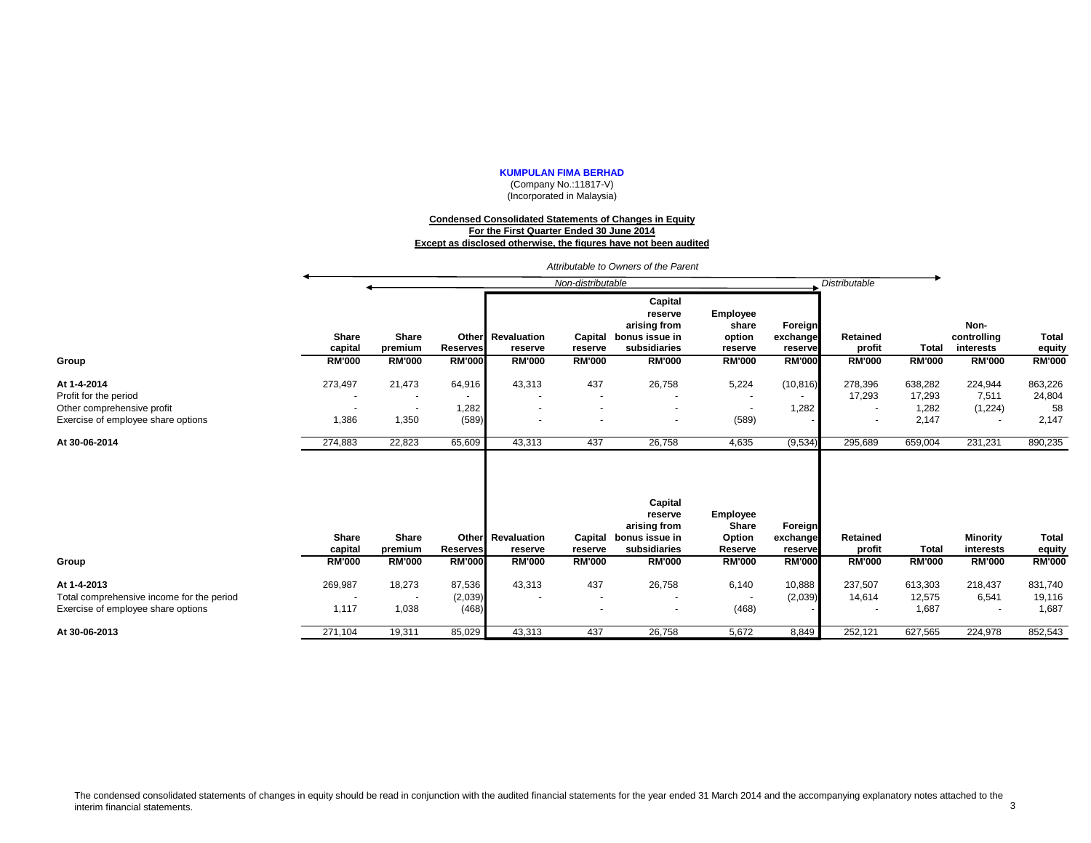(Company No.:11817-V) (Incorporated in Malaysia)

#### **Condensed Consolidated Statements of Changes in Equity For the First Quarter Ended 30 June 2014 Except as disclosed otherwise, the figures have not been audited**

*Attributable to Owners of the Parent*

|                                                                                                | Non-distributable       |                         |                            |                                     |                                                             |                                                                      |                                               | <b>Distributable</b>           |                             |                            |                                  |                            |
|------------------------------------------------------------------------------------------------|-------------------------|-------------------------|----------------------------|-------------------------------------|-------------------------------------------------------------|----------------------------------------------------------------------|-----------------------------------------------|--------------------------------|-----------------------------|----------------------------|----------------------------------|----------------------------|
|                                                                                                | <b>Share</b><br>capital | <b>Share</b><br>premium | <b>Reserves</b>            | <b>Other</b> Revaluation<br>reserve | Capital<br>reserve                                          | Capital<br>reserve<br>arising from<br>bonus issue in<br>subsidiaries | Employee<br>share<br>option<br>reserve        | Foreign<br>exchange<br>reserve | Retained<br>profit          | <b>Total</b>               | Non-<br>controlling<br>interests | <b>Total</b><br>equity     |
| Group                                                                                          | <b>RM'000</b>           | <b>RM'000</b>           | <b>RM'000</b>              | <b>RM'000</b>                       | <b>RM'000</b>                                               | <b>RM'000</b>                                                        | <b>RM'000</b>                                 | <b>RM'000</b>                  | <b>RM'000</b>               | <b>RM'000</b>              | <b>RM'000</b>                    | <b>RM'000</b>              |
| At 1-4-2014<br>Profit for the period<br>Other comprehensive profit                             | 273,497                 | 21,473<br>$\sim$        | 64,916<br>1,282            | 43,313<br>$\blacksquare$            | 437<br>$\overline{\phantom{a}}$<br>$\overline{\phantom{a}}$ | 26,758                                                               | 5,224<br>$\overline{\phantom{a}}$             | (10, 816)<br>1,282             | 278,396<br>17,293<br>$\sim$ | 638,282<br>17,293<br>1,282 | 224,944<br>7,511<br>(1,224)      | 863,226<br>24,804<br>58    |
| Exercise of employee share options                                                             | 1,386                   | 1,350                   | (589)                      |                                     |                                                             |                                                                      | (589)                                         |                                |                             | 2,147                      |                                  | 2,147                      |
| At 30-06-2014                                                                                  | 274,883                 | 22,823                  | 65,609                     | 43,313                              | 437                                                         | 26,758                                                               | 4,635                                         | (9,534)                        | 295,689                     | 659,004                    | 231,231                          | 890,235                    |
|                                                                                                | <b>Share</b><br>capital | Share<br>premium        | <b>Reserves</b>            | Other Revaluation<br>reserve        | Capital<br>reserve                                          | Capital<br>reserve<br>arising from<br>bonus issue in<br>subsidiaries | Employee<br><b>Share</b><br>Option<br>Reserve | Foreign<br>exchange<br>reserve | Retained<br>profit          | <b>Total</b>               | <b>Minority</b><br>interests     | <b>Total</b><br>equity     |
| Group                                                                                          | <b>RM'000</b>           | <b>RM'000</b>           | <b>RM'000</b>              | <b>RM'000</b>                       | <b>RM'000</b>                                               | <b>RM'000</b>                                                        | <b>RM'000</b>                                 | <b>RM'000</b>                  | <b>RM'000</b>               | <b>RM'000</b>              | <b>RM'000</b>                    | <b>RM'000</b>              |
| At 1-4-2013<br>Total comprehensive income for the period<br>Exercise of employee share options | 269,987<br>1,117        | 18,273<br>1,038         | 87,536<br>(2,039)<br>(468) | 43,313                              | 437<br>$\overline{\phantom{a}}$                             | 26,758                                                               | 6,140<br>(468)                                | 10,888<br>(2,039)              | 237,507<br>14,614           | 613,303<br>12,575<br>1,687 | 218,437<br>6,541                 | 831,740<br>19,116<br>1,687 |
| At 30-06-2013                                                                                  | 271,104                 | 19,311                  | 85,029                     | 43,313                              | 437                                                         | 26,758                                                               | 5,672                                         | 8,849                          | 252,121                     | 627,565                    | 224,978                          | 852,543                    |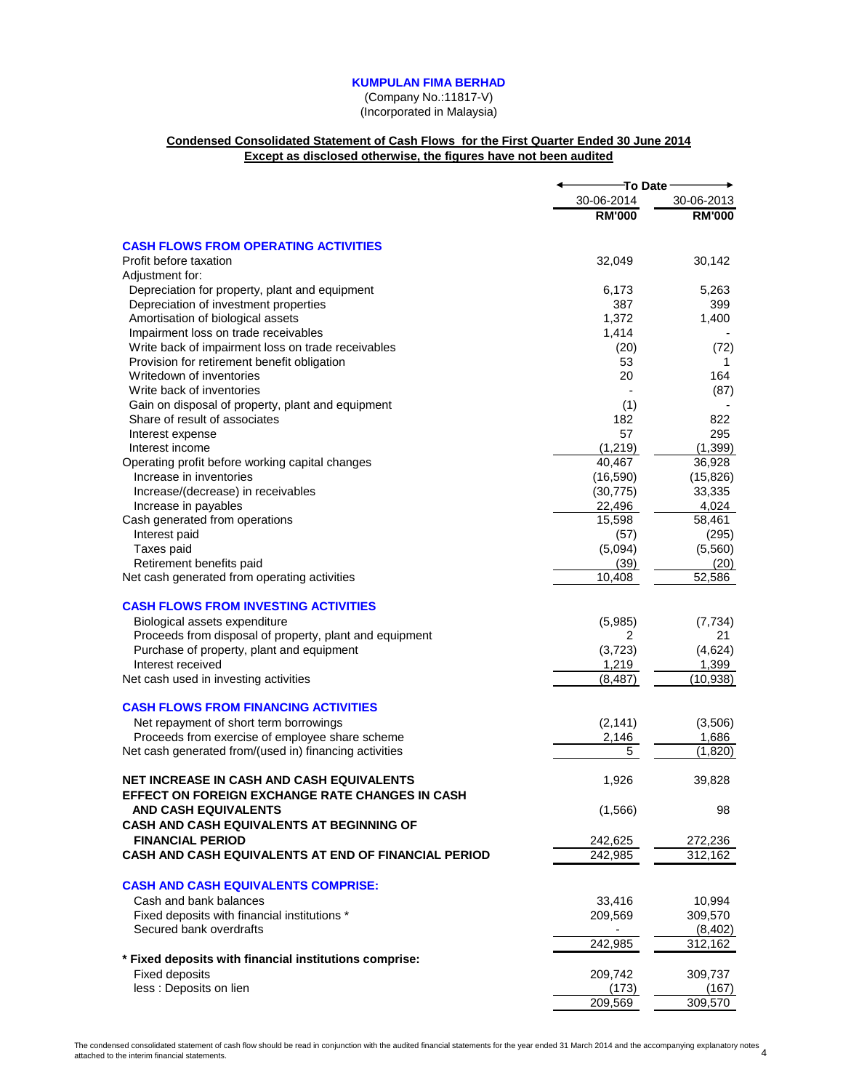(Company No.:11817-V) (Incorporated in Malaysia)

## **Condensed Consolidated Statement of Cash Flows for the First Quarter Ended 30 June 2014 Except as disclosed otherwise, the figures have not been audited**

|                                                         | To Date       |               |
|---------------------------------------------------------|---------------|---------------|
|                                                         | 30-06-2014    | 30-06-2013    |
|                                                         | <b>RM'000</b> | <b>RM'000</b> |
| <b>CASH FLOWS FROM OPERATING ACTIVITIES</b>             |               |               |
| Profit before taxation                                  | 32,049        | 30,142        |
| Adjustment for:                                         |               |               |
| Depreciation for property, plant and equipment          | 6,173         | 5,263         |
| Depreciation of investment properties                   | 387           | 399           |
| Amortisation of biological assets                       | 1,372         | 1,400         |
| Impairment loss on trade receivables                    | 1,414         |               |
| Write back of impairment loss on trade receivables      | (20)          | (72)          |
| Provision for retirement benefit obligation             | 53            | 1             |
| Writedown of inventories                                | 20            | 164           |
| Write back of inventories                               |               | (87)          |
| Gain on disposal of property, plant and equipment       | (1)           |               |
| Share of result of associates                           | 182           | 822           |
| Interest expense                                        | 57            | 295           |
| Interest income                                         | (1,219)       | (1, 399)      |
| Operating profit before working capital changes         | 40,467        | 36,928        |
| Increase in inventories                                 | (16, 590)     | (15, 826)     |
| Increase/(decrease) in receivables                      | (30, 775)     | 33,335        |
| Increase in payables                                    | 22,496        | 4,024         |
| Cash generated from operations                          | 15,598        | 58,461        |
| Interest paid                                           | (57)          | (295)         |
| Taxes paid                                              | (5,094)       | (5,560)       |
| Retirement benefits paid                                | (39)          | (20)          |
| Net cash generated from operating activities            | 10,408        | 52,586        |
| <b>CASH FLOWS FROM INVESTING ACTIVITIES</b>             |               |               |
| Biological assets expenditure                           | (5,985)       | (7, 734)      |
| Proceeds from disposal of property, plant and equipment | 2             | 21            |
| Purchase of property, plant and equipment               | (3,723)       | (4,624)       |
| Interest received                                       | 1,219         | 1,399         |
| Net cash used in investing activities                   | (8, 487)      | (10, 938)     |
| <b>CASH FLOWS FROM FINANCING ACTIVITIES</b>             |               |               |
| Net repayment of short term borrowings                  | (2, 141)      | (3,506)       |
| Proceeds from exercise of employee share scheme         | 2,146         | 1,686         |
| Net cash generated from/(used in) financing activities  | 5             | (1,820)       |
|                                                         |               |               |
| NET INCREASE IN CASH AND CASH EQUIVALENTS               | 1,926         | 39,828        |
| EFFECT ON FOREIGN EXCHANGE RATE CHANGES IN CASH         |               |               |
| <b>AND CASH EQUIVALENTS</b>                             | (1,566)       | 98            |
| <b>CASH AND CASH EQUIVALENTS AT BEGINNING OF</b>        |               |               |
| <b>FINANCIAL PERIOD</b>                                 | 242,625       | 272,236       |
| CASH AND CASH EQUIVALENTS AT END OF FINANCIAL PERIOD    | 242,985       | 312,162       |
| <b>CASH AND CASH EQUIVALENTS COMPRISE:</b>              |               |               |
| Cash and bank balances                                  | 33,416        | 10,994        |
| Fixed deposits with financial institutions *            | 209,569       | 309,570       |
| Secured bank overdrafts                                 |               | (8, 402)      |
|                                                         | 242,985       | 312,162       |
| * Fixed deposits with financial institutions comprise:  |               |               |
| <b>Fixed deposits</b>                                   | 209,742       | 309,737       |
| less : Deposits on lien                                 | (173)         | (167)         |
|                                                         | 209,569       | 309,570       |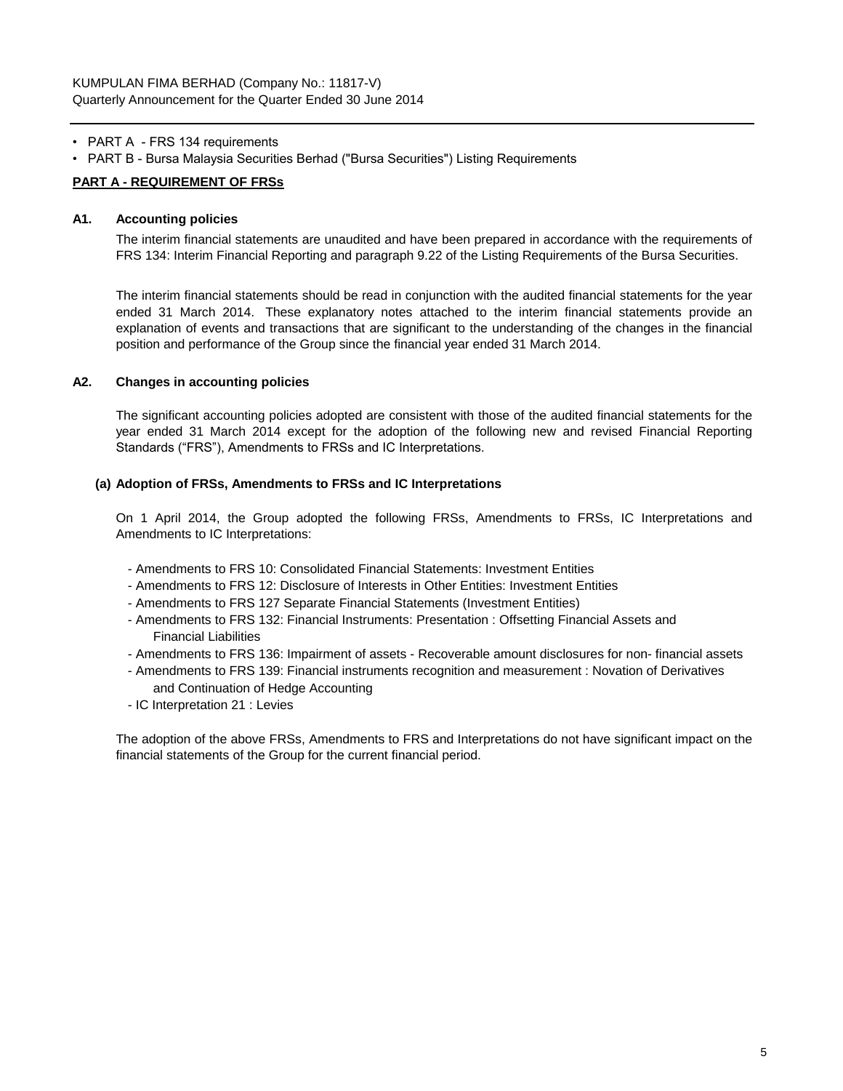- PART A FRS 134 requirements
- PART B Bursa Malaysia Securities Berhad ("Bursa Securities") Listing Requirements

## **PART A - REQUIREMENT OF FRSs**

## **A1. Accounting policies**

The interim financial statements are unaudited and have been prepared in accordance with the requirements of FRS 134: Interim Financial Reporting and paragraph 9.22 of the Listing Requirements of the Bursa Securities.

The interim financial statements should be read in conjunction with the audited financial statements for the year ended 31 March 2014. These explanatory notes attached to the interim financial statements provide an explanation of events and transactions that are significant to the understanding of the changes in the financial position and performance of the Group since the financial year ended 31 March 2014.

## **A2. Changes in accounting policies**

The significant accounting policies adopted are consistent with those of the audited financial statements for the year ended 31 March 2014 except for the adoption of the following new and revised Financial Reporting Standards ("FRS"), Amendments to FRSs and IC Interpretations.

## **(a) Adoption of FRSs, Amendments to FRSs and IC Interpretations**

On 1 April 2014, the Group adopted the following FRSs, Amendments to FRSs, IC Interpretations and Amendments to IC Interpretations:

- Amendments to FRS 10: Consolidated Financial Statements: Investment Entities
- Amendments to FRS 12: Disclosure of Interests in Other Entities: Investment Entities
- Amendments to FRS 127 Separate Financial Statements (Investment Entities)
- Amendments to FRS 132: Financial Instruments: Presentation : Offsetting Financial Assets and Financial Liabilities
- Amendments to FRS 136: Impairment of assets Recoverable amount disclosures for non- financial assets
- Amendments to FRS 139: Financial instruments recognition and measurement : Novation of Derivatives and Continuation of Hedge Accounting
- IC Interpretation 21 : Levies

The adoption of the above FRSs, Amendments to FRS and Interpretations do not have significant impact on the financial statements of the Group for the current financial period.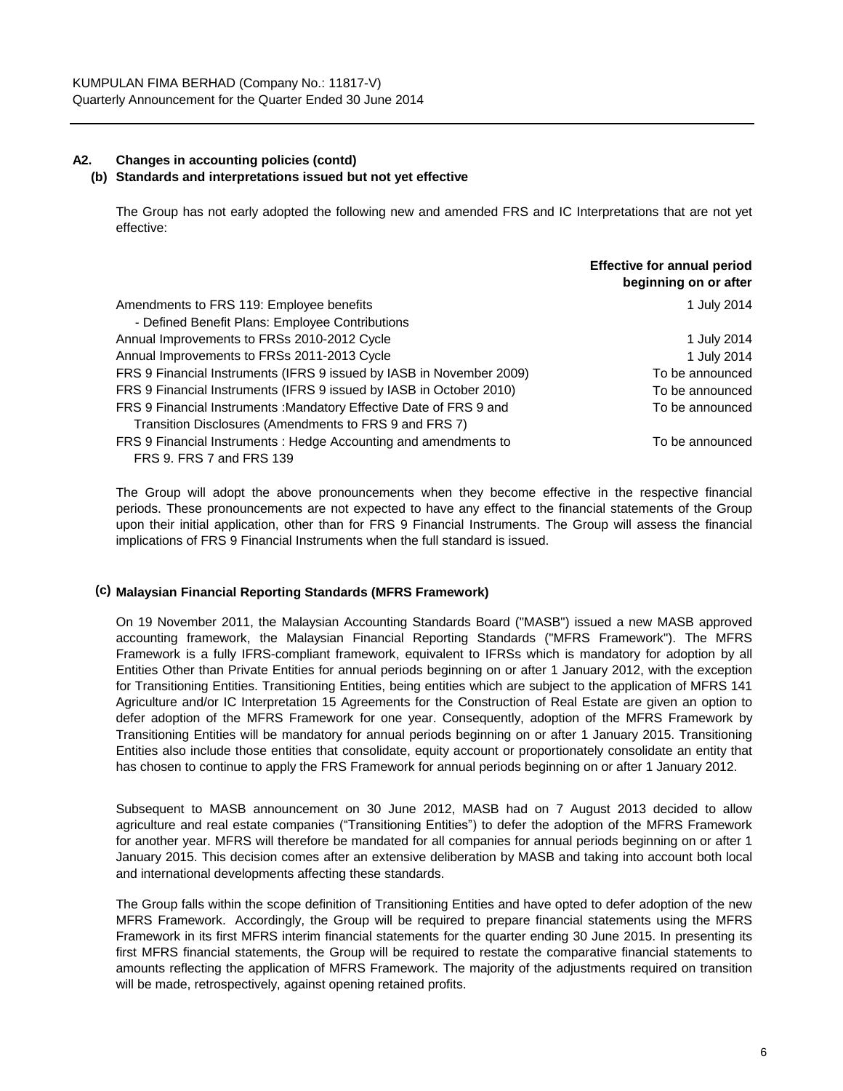# **A2. Changes in accounting policies (contd) (b) Standards and interpretations issued but not yet effective**

The Group has not early adopted the following new and amended FRS and IC Interpretations that are not yet effective:

|                                                                      | <b>Effective for annual period</b><br>beginning on or after |
|----------------------------------------------------------------------|-------------------------------------------------------------|
| Amendments to FRS 119: Employee benefits                             | 1 July 2014                                                 |
| - Defined Benefit Plans: Employee Contributions                      |                                                             |
| Annual Improvements to FRSs 2010-2012 Cycle                          | 1 July 2014                                                 |
| Annual Improvements to FRSs 2011-2013 Cycle                          | 1 July 2014                                                 |
| FRS 9 Financial Instruments (IFRS 9 issued by IASB in November 2009) | To be announced                                             |
| FRS 9 Financial Instruments (IFRS 9 issued by IASB in October 2010)  | To be announced                                             |
| FRS 9 Financial Instruments: Mandatory Effective Date of FRS 9 and   | To be announced                                             |
| Transition Disclosures (Amendments to FRS 9 and FRS 7)               |                                                             |
| FRS 9 Financial Instruments: Hedge Accounting and amendments to      | To be announced                                             |
| FRS 9. FRS 7 and FRS 139                                             |                                                             |

The Group will adopt the above pronouncements when they become effective in the respective financial periods. These pronouncements are not expected to have any effect to the financial statements of the Group upon their initial application, other than for FRS 9 Financial Instruments. The Group will assess the financial implications of FRS 9 Financial Instruments when the full standard is issued.

# **(c) Malaysian Financial Reporting Standards (MFRS Framework)**

On 19 November 2011, the Malaysian Accounting Standards Board ("MASB") issued a new MASB approved accounting framework, the Malaysian Financial Reporting Standards ("MFRS Framework"). The MFRS Framework is a fully IFRS-compliant framework, equivalent to IFRSs which is mandatory for adoption by all Entities Other than Private Entities for annual periods beginning on or after 1 January 2012, with the exception for Transitioning Entities. Transitioning Entities, being entities which are subject to the application of MFRS 141 Agriculture and/or IC Interpretation 15 Agreements for the Construction of Real Estate are given an option to defer adoption of the MFRS Framework for one year. Consequently, adoption of the MFRS Framework by Transitioning Entities will be mandatory for annual periods beginning on or after 1 January 2015. Transitioning Entities also include those entities that consolidate, equity account or proportionately consolidate an entity that has chosen to continue to apply the FRS Framework for annual periods beginning on or after 1 January 2012.

Subsequent to MASB announcement on 30 June 2012, MASB had on 7 August 2013 decided to allow agriculture and real estate companies ("Transitioning Entities") to defer the adoption of the MFRS Framework for another year. MFRS will therefore be mandated for all companies for annual periods beginning on or after 1 January 2015. This decision comes after an extensive deliberation by MASB and taking into account both local and international developments affecting these standards.

The Group falls within the scope definition of Transitioning Entities and have opted to defer adoption of the new MFRS Framework. Accordingly, the Group will be required to prepare financial statements using the MFRS Framework in its first MFRS interim financial statements for the quarter ending 30 June 2015. In presenting its first MFRS financial statements, the Group will be required to restate the comparative financial statements to amounts reflecting the application of MFRS Framework. The majority of the adjustments required on transition will be made, retrospectively, against opening retained profits.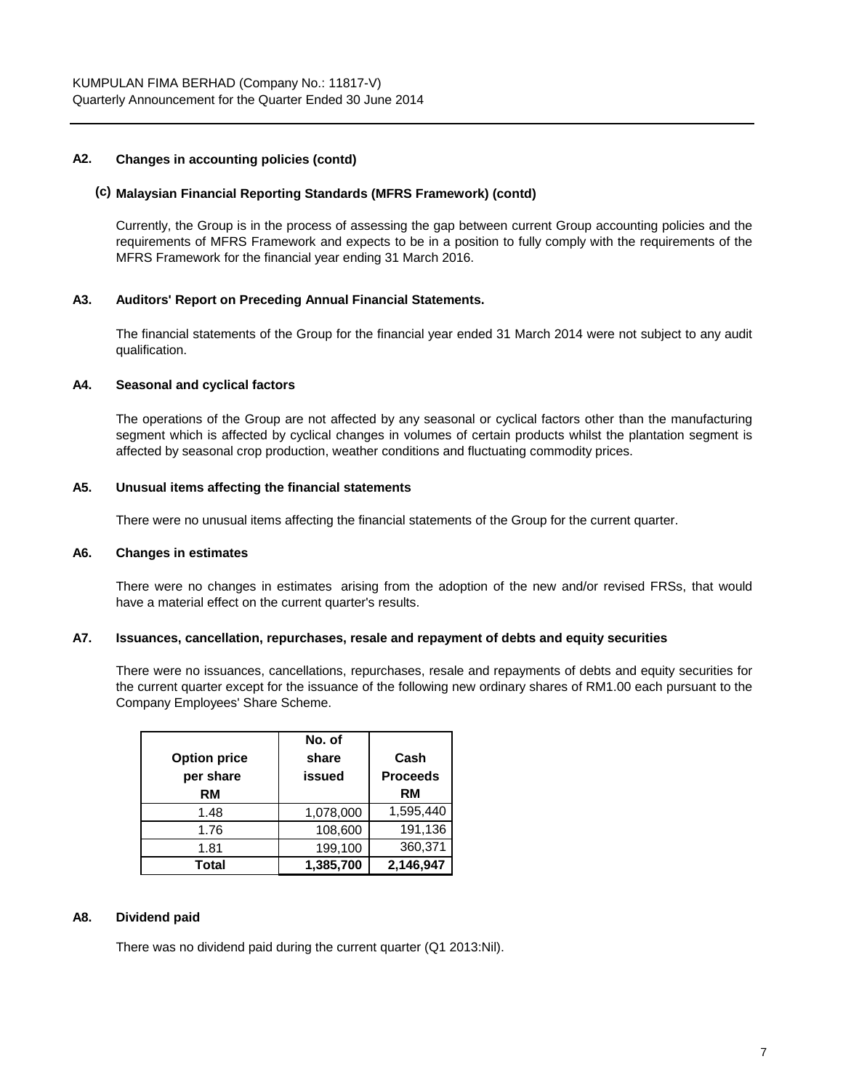# **A2. Changes in accounting policies (contd)**

#### **(c) Malaysian Financial Reporting Standards (MFRS Framework) (contd)**

Currently, the Group is in the process of assessing the gap between current Group accounting policies and the requirements of MFRS Framework and expects to be in a position to fully comply with the requirements of the MFRS Framework for the financial year ending 31 March 2016.

## **A3. Auditors' Report on Preceding Annual Financial Statements.**

The financial statements of the Group for the financial year ended 31 March 2014 were not subject to any audit qualification.

## **A4. Seasonal and cyclical factors**

The operations of the Group are not affected by any seasonal or cyclical factors other than the manufacturing segment which is affected by cyclical changes in volumes of certain products whilst the plantation segment is affected by seasonal crop production, weather conditions and fluctuating commodity prices.

#### **A5. Unusual items affecting the financial statements**

There were no unusual items affecting the financial statements of the Group for the current quarter.

#### **A6. Changes in estimates**

There were no changes in estimates arising from the adoption of the new and/or revised FRSs, that would have a material effect on the current quarter's results.

## **A7. Issuances, cancellation, repurchases, resale and repayment of debts and equity securities**

There were no issuances, cancellations, repurchases, resale and repayments of debts and equity securities for the current quarter except for the issuance of the following new ordinary shares of RM1.00 each pursuant to the Company Employees' Share Scheme.

| <b>Option price</b><br>per share<br>RM | No. of<br>share<br>issued | Cash<br><b>Proceeds</b><br>RM |
|----------------------------------------|---------------------------|-------------------------------|
| 1.48                                   | 1,078,000                 | 1,595,440                     |
| 1.76                                   | 108,600                   | 191,136                       |
| 1.81                                   | 199,100                   | 360,371                       |
| Total                                  | 1,385,700                 | 2,146,947                     |

#### **A8. Dividend paid**

There was no dividend paid during the current quarter (Q1 2013:Nil).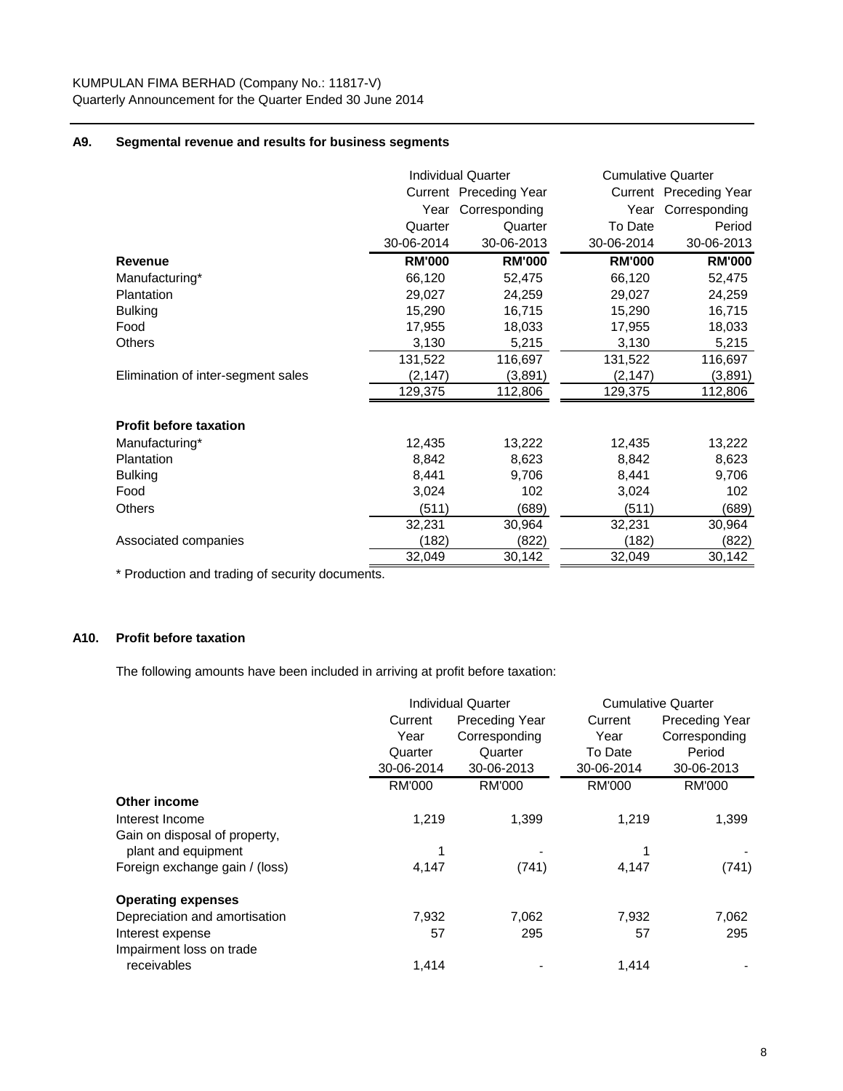## **A9. Segmental revenue and results for business segments**

|                                    |               | <b>Individual Quarter</b> |               | <b>Cumulative Quarter</b> |
|------------------------------------|---------------|---------------------------|---------------|---------------------------|
|                                    |               | Current Preceding Year    |               | Current Preceding Year    |
|                                    | Year          | Corresponding             | Year          | Corresponding             |
|                                    | Quarter       | Quarter                   | To Date       | Period                    |
|                                    | 30-06-2014    | 30-06-2013                | 30-06-2014    | 30-06-2013                |
| Revenue                            | <b>RM'000</b> | <b>RM'000</b>             | <b>RM'000</b> | <b>RM'000</b>             |
| Manufacturing*                     | 66,120        | 52,475                    | 66,120        | 52,475                    |
| Plantation                         | 29,027        | 24,259                    | 29,027        | 24,259                    |
| <b>Bulking</b>                     | 15,290        | 16,715                    | 15,290        | 16,715                    |
| Food                               | 17,955        | 18,033                    | 17,955        | 18,033                    |
| Others                             | 3,130         | 5,215                     | 3,130         | 5,215                     |
|                                    | 131,522       | 116,697                   | 131,522       | 116,697                   |
| Elimination of inter-segment sales | (2, 147)      | (3,891)                   | (2, 147)      | (3,891)                   |
|                                    | 129,375       | 112,806                   | 129,375       | 112,806                   |
| <b>Profit before taxation</b>      |               |                           |               |                           |
| Manufacturing*                     | 12,435        | 13,222                    | 12,435        | 13,222                    |
| <b>Plantation</b>                  | 8,842         | 8,623                     | 8,842         | 8,623                     |
| <b>Bulking</b>                     | 8,441         | 9,706                     | 8,441         | 9,706                     |
| Food                               | 3,024         | 102                       | 3,024         | 102                       |
| Others                             | (511)         | (689)                     | (511)         | (689)                     |
|                                    | 32,231        | 30,964                    | 32,231        | 30,964                    |
| Associated companies               | (182)         | (822)                     | (182)         | (822)                     |
|                                    | 32,049        | 30,142                    | 32,049        | 30,142                    |

\* Production and trading of security documents.

# **A10. Profit before taxation**

The following amounts have been included in arriving at profit before taxation:

|                                |                                  | <b>Individual Quarter</b> | <b>Cumulative Quarter</b> |                       |  |
|--------------------------------|----------------------------------|---------------------------|---------------------------|-----------------------|--|
|                                | <b>Preceding Year</b><br>Current |                           | Current                   | <b>Preceding Year</b> |  |
|                                | Year                             | Corresponding             | Year                      | Corresponding         |  |
|                                | Quarter                          | Quarter                   | To Date                   | Period                |  |
|                                | 30-06-2014                       | 30-06-2013                | 30-06-2014                | 30-06-2013            |  |
|                                | <b>RM'000</b>                    | <b>RM'000</b>             | <b>RM'000</b>             | <b>RM'000</b>         |  |
| Other income                   |                                  |                           |                           |                       |  |
| Interest Income                | 1,219                            | 1,399                     | 1,219                     | 1,399                 |  |
| Gain on disposal of property,  |                                  |                           |                           |                       |  |
| plant and equipment            |                                  |                           |                           |                       |  |
| Foreign exchange gain / (loss) | 4,147                            | (741)                     | 4,147                     | (741)                 |  |
| <b>Operating expenses</b>      |                                  |                           |                           |                       |  |
| Depreciation and amortisation  | 7,932                            | 7,062                     | 7,932                     | 7,062                 |  |
| Interest expense               | 57                               | 295                       | 57                        | 295                   |  |
| Impairment loss on trade       |                                  |                           |                           |                       |  |
| receivables                    | 1,414                            |                           | 1,414                     |                       |  |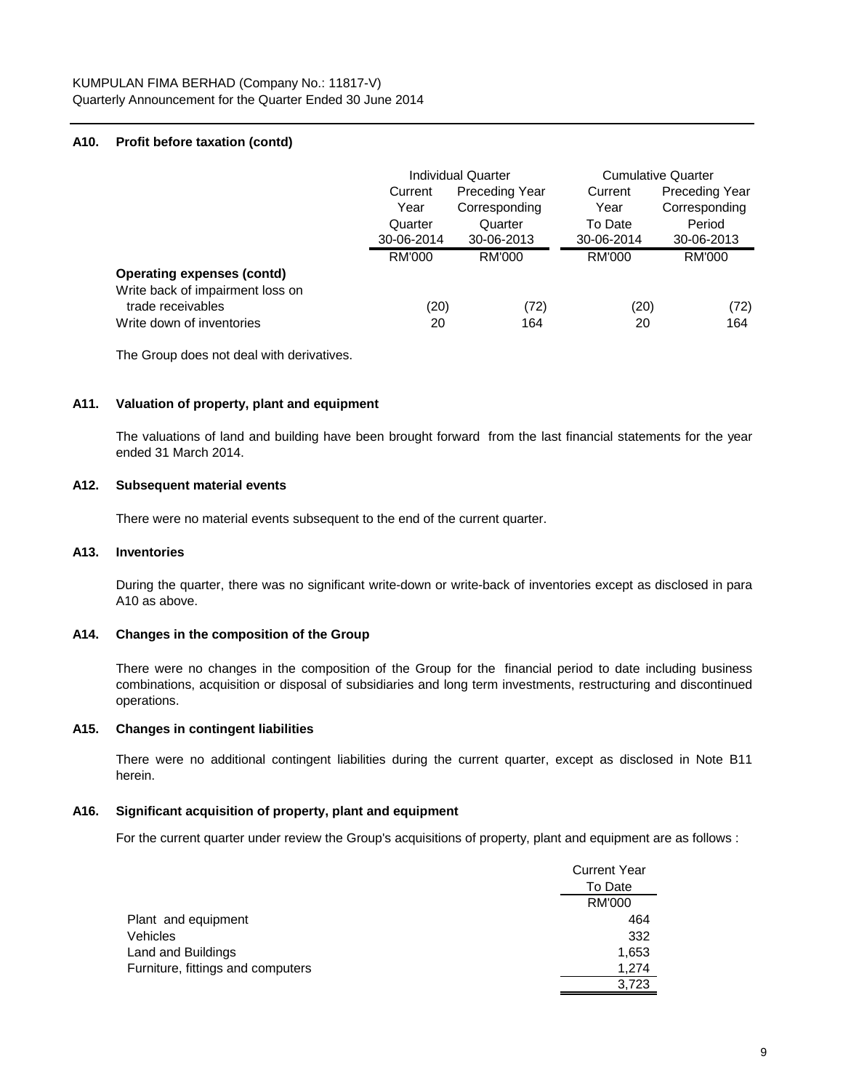## **A10. Profit before taxation (contd)**

|                                                       | <b>Individual Quarter</b> |                | <b>Cumulative Quarter</b> |                       |
|-------------------------------------------------------|---------------------------|----------------|---------------------------|-----------------------|
|                                                       | Current                   | Preceding Year | Current                   | <b>Preceding Year</b> |
|                                                       | Year                      | Corresponding  | Year                      | Corresponding         |
|                                                       | Quarter                   | Quarter        | To Date                   | Period                |
|                                                       | 30-06-2014                | 30-06-2013     | 30-06-2014                | 30-06-2013            |
|                                                       | RM'000                    | RM'000         | RM'000                    | <b>RM'000</b>         |
| <b>Operating expenses (contd)</b>                     |                           |                |                           |                       |
| Write back of impairment loss on<br>trade receivables | (20)                      | (72)           | (20)                      | (72)                  |
| Write down of inventories                             | 20                        | 164            | 20                        | 164                   |

The Group does not deal with derivatives.

#### **A11. Valuation of property, plant and equipment**

The valuations of land and building have been brought forward from the last financial statements for the year ended 31 March 2014.

## **A12. Subsequent material events**

There were no material events subsequent to the end of the current quarter.

#### **A13. Inventories**

During the quarter, there was no significant write-down or write-back of inventories except as disclosed in para A10 as above.

## **A14. Changes in the composition of the Group**

There were no changes in the composition of the Group for the financial period to date including business combinations, acquisition or disposal of subsidiaries and long term investments, restructuring and discontinued operations.

#### **A15. Changes in contingent liabilities**

There were no additional contingent liabilities during the current quarter, except as disclosed in Note B11 herein.

## **A16. Significant acquisition of property, plant and equipment**

For the current quarter under review the Group's acquisitions of property, plant and equipment are as follows :

|                                   | <b>Current Year</b> |
|-----------------------------------|---------------------|
|                                   | To Date             |
|                                   | RM'000              |
| Plant and equipment               | 464                 |
| Vehicles                          | 332                 |
| Land and Buildings                | 1,653               |
| Furniture, fittings and computers | 1,274               |
|                                   | 3.723               |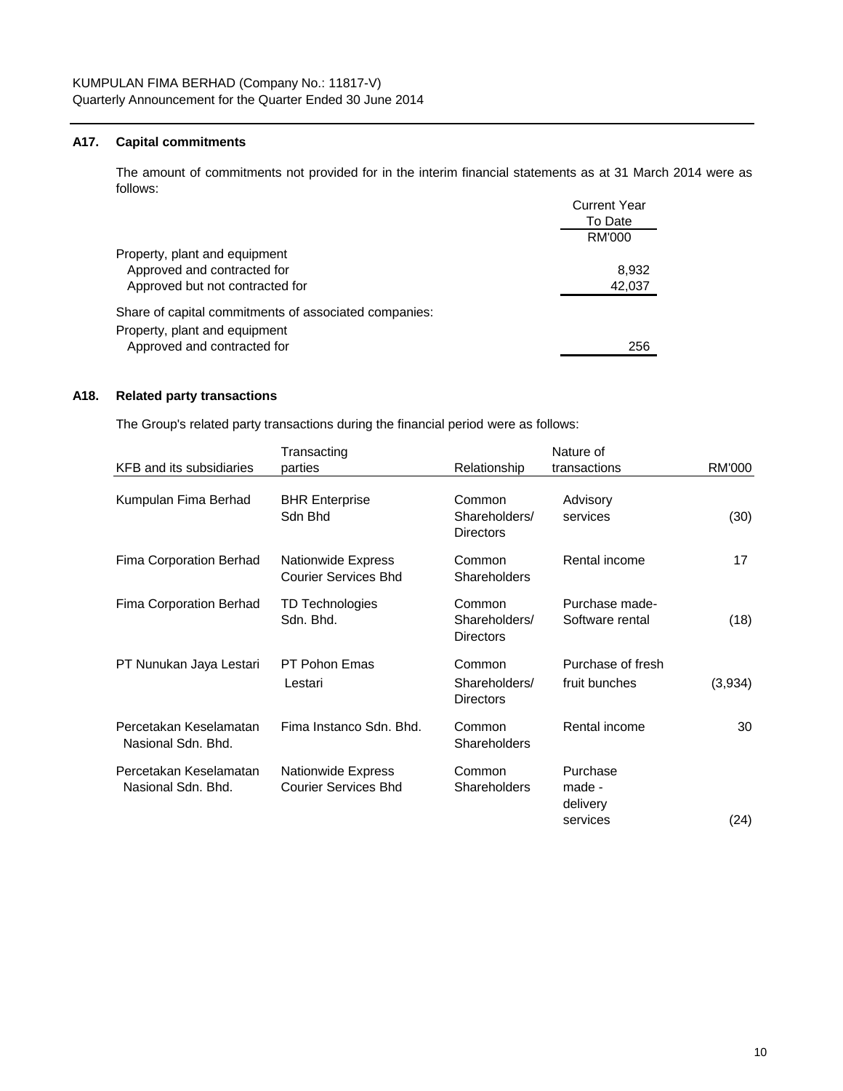## **A17. Capital commitments**

 $C$ urrent  $V$ e The amount of commitments not provided for in the interim financial statements as at 31 March 2014 were as follows:

|                                                       | Current Year |
|-------------------------------------------------------|--------------|
|                                                       | To Date      |
|                                                       | RM'000       |
| Property, plant and equipment                         |              |
| Approved and contracted for                           | 8.932        |
| Approved but not contracted for                       | 42,037       |
| Share of capital commitments of associated companies: |              |
| Property, plant and equipment                         |              |
| Approved and contracted for                           | 256          |
|                                                       |              |

## **A18. Related party transactions**

The Group's related party transactions during the financial period were as follows:

|                                              | Transacting                                              |                                             | Nature of                                  |         |
|----------------------------------------------|----------------------------------------------------------|---------------------------------------------|--------------------------------------------|---------|
| KFB and its subsidiaries                     | parties                                                  | Relationship                                | transactions                               | RM'000  |
| Kumpulan Fima Berhad                         | <b>BHR Enterprise</b><br>Sdn Bhd                         | Common<br>Shareholders/<br><b>Directors</b> | Advisory<br>services                       | (30)    |
| Fima Corporation Berhad                      | <b>Nationwide Express</b><br><b>Courier Services Bhd</b> | Common<br><b>Shareholders</b>               | Rental income                              | 17      |
| Fima Corporation Berhad                      | TD Technologies<br>Sdn. Bhd.                             | Common<br>Shareholders/<br><b>Directors</b> | Purchase made-<br>Software rental          | (18)    |
| PT Nunukan Jaya Lestari                      | <b>PT Pohon Emas</b><br>Lestari                          | Common<br>Shareholders/<br><b>Directors</b> | Purchase of fresh<br>fruit bunches         | (3,934) |
| Percetakan Keselamatan<br>Nasional Sdn. Bhd. | Fima Instanco Sdn. Bhd.                                  | Common<br>Shareholders                      | Rental income                              | 30      |
| Percetakan Keselamatan<br>Nasional Sdn. Bhd. | <b>Nationwide Express</b><br><b>Courier Services Bhd</b> | Common<br><b>Shareholders</b>               | Purchase<br>made -<br>delivery<br>services | (24)    |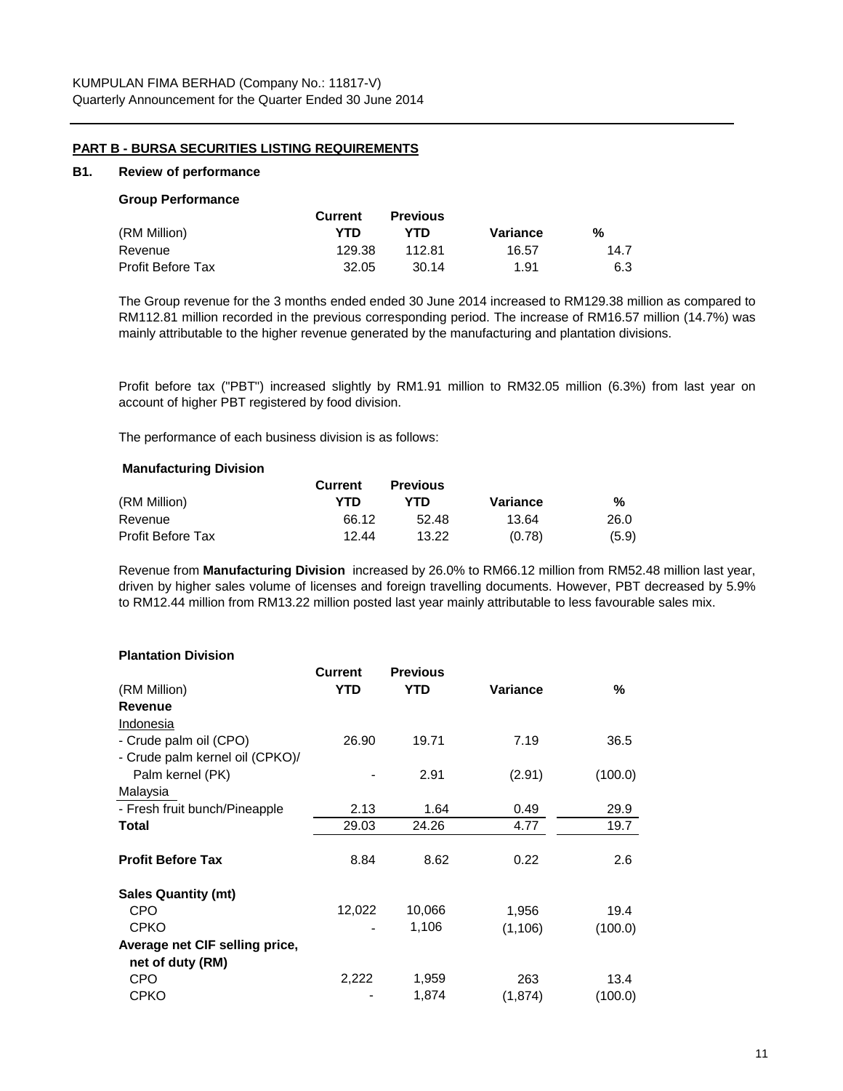## **PART B - BURSA SECURITIES LISTING REQUIREMENTS**

#### **B1. Review of performance**

#### **Group Performance**

|                   | Current | <b>Previous</b> |          |      |
|-------------------|---------|-----------------|----------|------|
| (RM Million)      | YTD     | YTD             | Variance | %    |
| Revenue           | 129.38  | 112.81          | 16.57    | 14.7 |
| Profit Before Tax | 32.05   | 30.14           | 1.91     | 6.3  |

The Group revenue for the 3 months ended ended 30 June 2014 increased to RM129.38 million as compared to RM112.81 million recorded in the previous corresponding period. The increase of RM16.57 million (14.7%) was mainly attributable to the higher revenue generated by the manufacturing and plantation divisions.

Profit before tax ("PBT") increased slightly by RM1.91 million to RM32.05 million (6.3%) from last year on account of higher PBT registered by food division.

The performance of each business division is as follows:

#### **Manufacturing Division**

|                   | <b>Current</b> | <b>Previous</b> |          |       |
|-------------------|----------------|-----------------|----------|-------|
| (RM Million)      | YTD            | YTD             | Variance | %     |
| Revenue           | 66.12          | 52.48           | 13.64    | 26.0  |
| Profit Before Tax | 12.44          | 13.22           | (0.78)   | (5.9) |

Revenue from **Manufacturing Division** increased by 26.0% to RM66.12 million from RM52.48 million last year, driven by higher sales volume of licenses and foreign travelling documents. However, PBT decreased by 5.9% to RM12.44 million from RM13.22 million posted last year mainly attributable to less favourable sales mix.

#### **Plantation Division**

|                                 | <b>Current</b> | <b>Previous</b> |          |         |
|---------------------------------|----------------|-----------------|----------|---------|
| (RM Million)                    | <b>YTD</b>     | <b>YTD</b>      | Variance | %       |
| Revenue                         |                |                 |          |         |
| Indonesia                       |                |                 |          |         |
| - Crude palm oil (CPO)          | 26.90          | 19.71           | 7.19     | 36.5    |
| - Crude palm kernel oil (CPKO)/ |                |                 |          |         |
| Palm kernel (PK)                |                | 2.91            | (2.91)   | (100.0) |
| Malaysia                        |                |                 |          |         |
| - Fresh fruit bunch/Pineapple   | 2.13           | 1.64            | 0.49     | 29.9    |
| Total                           | 29.03          | 24.26           | 4.77     | 19.7    |
|                                 |                |                 |          |         |
| <b>Profit Before Tax</b>        | 8.84           | 8.62            | 0.22     | 2.6     |
| <b>Sales Quantity (mt)</b>      |                |                 |          |         |
| CPO                             | 12,022         | 10,066          | 1,956    | 19.4    |
| <b>CPKO</b>                     |                | 1,106           | (1, 106) | (100.0) |
| Average net CIF selling price,  |                |                 |          |         |
| net of duty (RM)                |                |                 |          |         |
| CPO                             | 2,222          | 1,959           | 263      | 13.4    |
| <b>CPKO</b>                     |                | 1,874           | (1,874)  | (100.0) |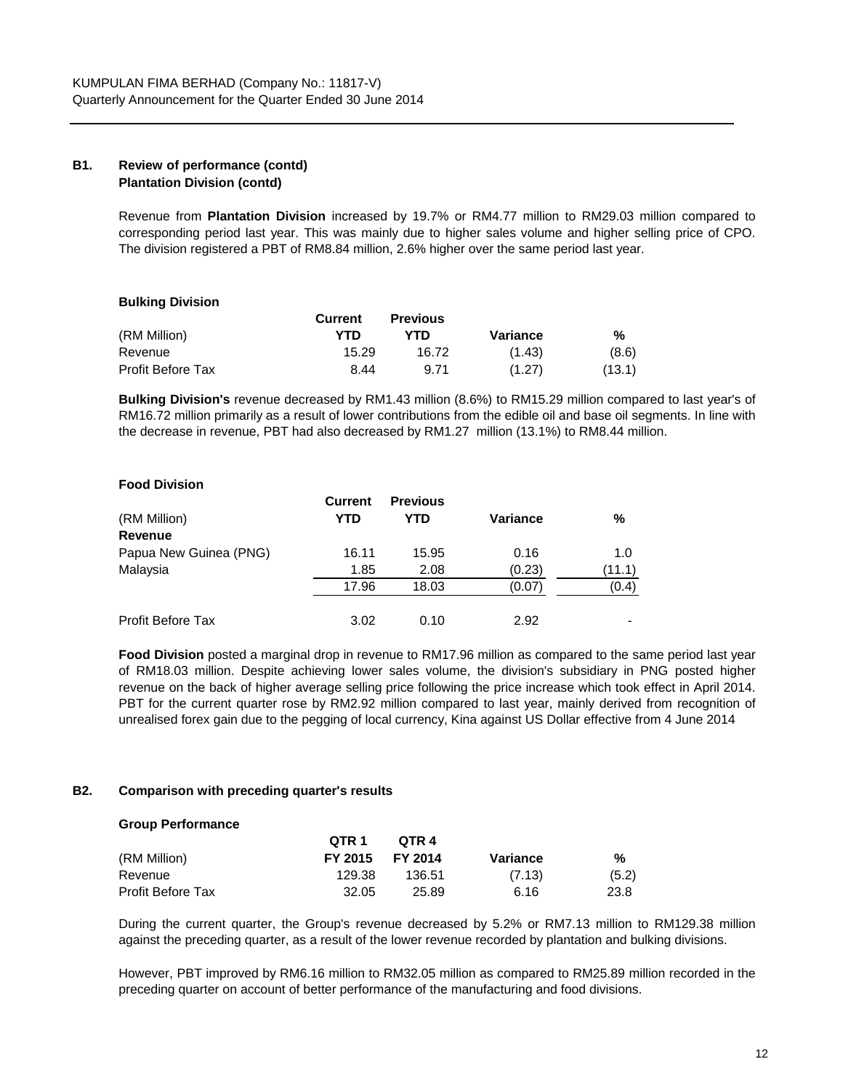## **B1. Review of performance (contd) Plantation Division (contd)**

Revenue from **Plantation Division** increased by 19.7% or RM4.77 million to RM29.03 million compared to corresponding period last year. This was mainly due to higher sales volume and higher selling price of CPO. The division registered a PBT of RM8.84 million, 2.6% higher over the same period last year.

|                          | Current | <b>Previous</b> |          |        |
|--------------------------|---------|-----------------|----------|--------|
| (RM Million)             | YTD     | YTD             | Variance | %      |
| Revenue                  | 15.29   | 16.72           | (1.43)   | (8.6)  |
| <b>Profit Before Tax</b> | 8.44    | 9.71            | (1.27)   | (13.1) |

**Bulking Division's** revenue decreased by RM1.43 million (8.6%) to RM15.29 million compared to last year's of RM16.72 million primarily as a result of lower contributions from the edible oil and base oil segments. In line with the decrease in revenue, PBT had also decreased by RM1.27 million (13.1%) to RM8.44 million.

## **Food Division**

**Bulking Division**

|                          | <b>Current</b> | <b>Previous</b> |          |        |
|--------------------------|----------------|-----------------|----------|--------|
| (RM Million)             | YTD            | <b>YTD</b>      | Variance | %      |
| Revenue                  |                |                 |          |        |
| Papua New Guinea (PNG)   | 16.11          | 15.95           | 0.16     | 1.0    |
| Malaysia                 | 1.85           | 2.08            | (0.23)   | (11.1) |
|                          | 17.96          | 18.03           | (0.07)   | (0.4)  |
| <b>Profit Before Tax</b> | 3.02           | 0.10            | 2.92     |        |

**Food Division** posted a marginal drop in revenue to RM17.96 million as compared to the same period last year of RM18.03 million. Despite achieving lower sales volume, the division's subsidiary in PNG posted higher revenue on the back of higher average selling price following the price increase which took effect in April 2014. PBT for the current quarter rose by RM2.92 million compared to last year, mainly derived from recognition of unrealised forex gain due to the pegging of local currency, Kina against US Dollar effective from 4 June 2014

## **B2. Comparison with preceding quarter's results**

#### **Group Performance**

|                          | OTR <sub>1</sub> | OTR 4          |          |       |
|--------------------------|------------------|----------------|----------|-------|
| (RM Million)             | FY 2015          | <b>FY 2014</b> | Variance | %     |
| Revenue                  | 129.38           | 136.51         | (7.13)   | (5.2) |
| <b>Profit Before Tax</b> | 32.05            | 25.89          | 6.16     | 23.8  |

During the current quarter, the Group's revenue decreased by 5.2% or RM7.13 million to RM129.38 million against the preceding quarter, as a result of the lower revenue recorded by plantation and bulking divisions.

However, PBT improved by RM6.16 million to RM32.05 million as compared to RM25.89 million recorded in the preceding quarter on account of better performance of the manufacturing and food divisions.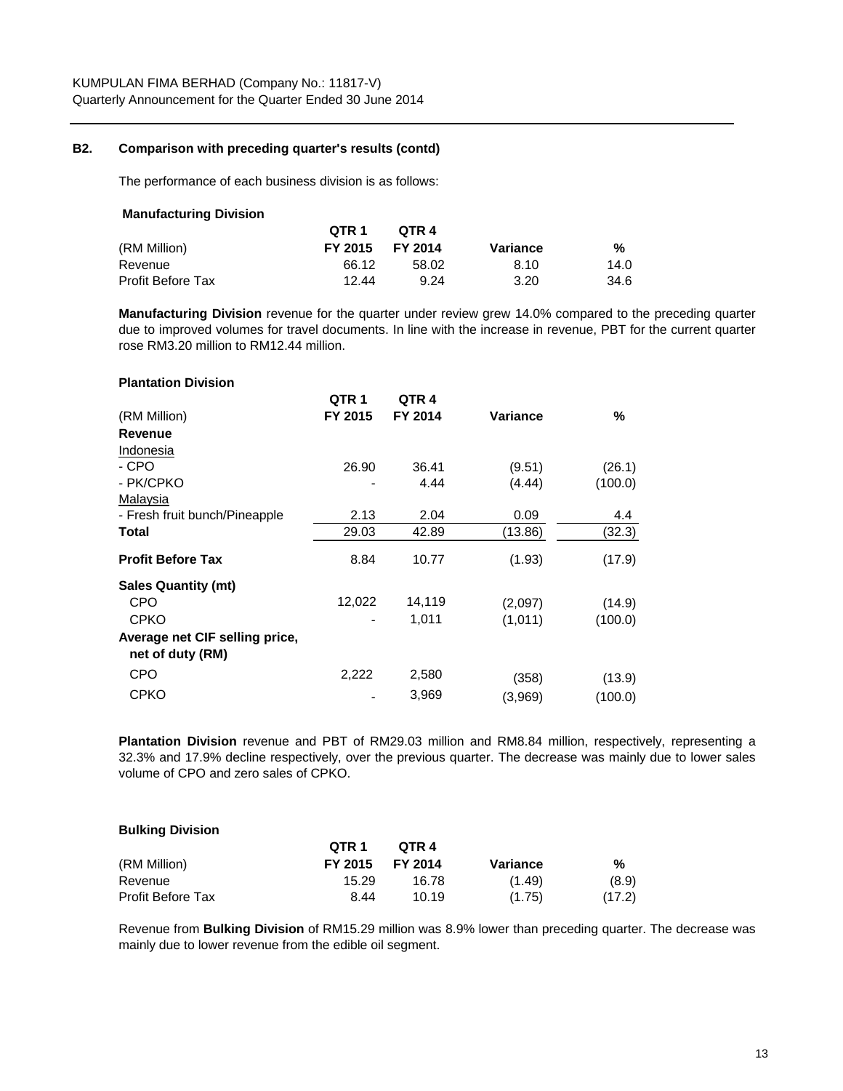## **B2. Comparison with preceding quarter's results (contd)**

The performance of each business division is as follows:

| OTR 1   | OTR 4   |          |      |
|---------|---------|----------|------|
| FY 2015 | FY 2014 | Variance | %    |
| 66.12   | 58.02   | 8.10     | 14.0 |
| 12.44   | 9.24    | 3.20     | 34.6 |
|         |         |          |      |

**Manufacturing Division** revenue for the quarter under review grew 14.0% compared to the preceding quarter due to improved volumes for travel documents. In line with the increase in revenue, PBT for the current quarter rose RM3.20 million to RM12.44 million.

| <b>Plantation Division</b>                         |         |                  |                 |         |
|----------------------------------------------------|---------|------------------|-----------------|---------|
|                                                    | QTR 1   | QTR <sub>4</sub> |                 |         |
| (RM Million)                                       | FY 2015 | FY 2014          | <b>Variance</b> | ℅       |
| <b>Revenue</b>                                     |         |                  |                 |         |
| Indonesia                                          |         |                  |                 |         |
| - CPO                                              | 26.90   | 36.41            | (9.51)          | (26.1)  |
| - PK/CPKO                                          |         | 4.44             | (4.44)          | (100.0) |
| Malaysia                                           |         |                  |                 |         |
| - Fresh fruit bunch/Pineapple                      | 2.13    | 2.04             | 0.09            | 4.4     |
| Total                                              | 29.03   | 42.89            | (13.86)         | (32.3)  |
| <b>Profit Before Tax</b>                           | 8.84    | 10.77            | (1.93)          | (17.9)  |
| <b>Sales Quantity (mt)</b>                         |         |                  |                 |         |
| CPO                                                | 12,022  | 14,119           | (2,097)         | (14.9)  |
| <b>CPKO</b>                                        |         | 1,011            | (1,011)         | (100.0) |
| Average net CIF selling price,<br>net of duty (RM) |         |                  |                 |         |
| CPO                                                | 2,222   | 2,580            | (358)           | (13.9)  |
| <b>CPKO</b>                                        |         | 3,969            | (3,969)         | (100.0) |

**Plantation Division** revenue and PBT of RM29.03 million and RM8.84 million, respectively, representing a 32.3% and 17.9% decline respectively, over the previous quarter. The decrease was mainly due to lower sales volume of CPO and zero sales of CPKO.

## **Bulking Division**

|                          | OTR <sub>1</sub> | OTR 4   |          |        |
|--------------------------|------------------|---------|----------|--------|
| (RM Million)             | FY 2015          | FY 2014 | Variance | %      |
| Revenue                  | 15.29            | 16.78   | (1.49)   | (8.9)  |
| <b>Profit Before Tax</b> | 8.44             | 10.19   | (1.75)   | (17.2) |

Revenue from **Bulking Division** of RM15.29 million was 8.9% lower than preceding quarter. The decrease was mainly due to lower revenue from the edible oil segment.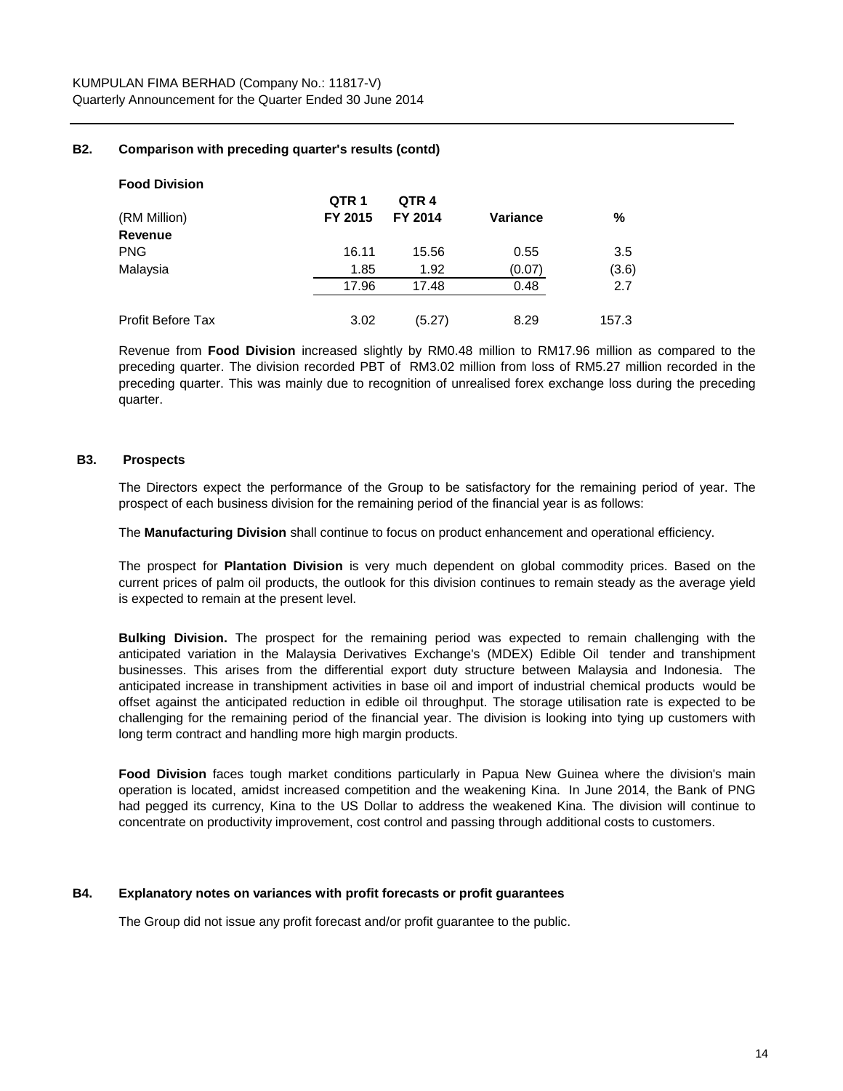## **B2. Comparison with preceding quarter's results (contd)**

| <b>Food Division</b>     |                  |                  |                 |       |
|--------------------------|------------------|------------------|-----------------|-------|
|                          | QTR <sub>1</sub> | QTR <sub>4</sub> |                 |       |
| (RM Million)             | FY 2015          | <b>FY 2014</b>   | <b>Variance</b> | %     |
| Revenue                  |                  |                  |                 |       |
| <b>PNG</b>               | 16.11            | 15.56            | 0.55            | 3.5   |
| Malaysia                 | 1.85             | 1.92             | (0.07)          | (3.6) |
|                          | 17.96            | 17.48            | 0.48            | 2.7   |
| <b>Profit Before Tax</b> | 3.02             | (5.27)           | 8.29            | 157.3 |

Revenue from **Food Division** increased slightly by RM0.48 million to RM17.96 million as compared to the preceding quarter. The division recorded PBT of RM3.02 million from loss of RM5.27 million recorded in the preceding quarter. This was mainly due to recognition of unrealised forex exchange loss during the preceding quarter.

## **B3. Prospects**

The Directors expect the performance of the Group to be satisfactory for the remaining period of year. The prospect of each business division for the remaining period of the financial year is as follows:

The **Manufacturing Division** shall continue to focus on product enhancement and operational efficiency.

The prospect for **Plantation Division** is very much dependent on global commodity prices. Based on the current prices of palm oil products, the outlook for this division continues to remain steady as the average yield is expected to remain at the present level.

**Bulking Division.** The prospect for the remaining period was expected to remain challenging with the anticipated variation in the Malaysia Derivatives Exchange's (MDEX) Edible Oil tender and transhipment businesses. This arises from the differential export duty structure between Malaysia and Indonesia. The anticipated increase in transhipment activities in base oil and import of industrial chemical products would be offset against the anticipated reduction in edible oil throughput. The storage utilisation rate is expected to be challenging for the remaining period of the financial year. The division is looking into tying up customers with long term contract and handling more high margin products.

**Food Division** faces tough market conditions particularly in Papua New Guinea where the division's main operation is located, amidst increased competition and the weakening Kina. In June 2014, the Bank of PNG had pegged its currency, Kina to the US Dollar to address the weakened Kina. The division will continue to concentrate on productivity improvement, cost control and passing through additional costs to customers.

## **B4. Explanatory notes on variances with profit forecasts or profit guarantees**

The Group did not issue any profit forecast and/or profit guarantee to the public.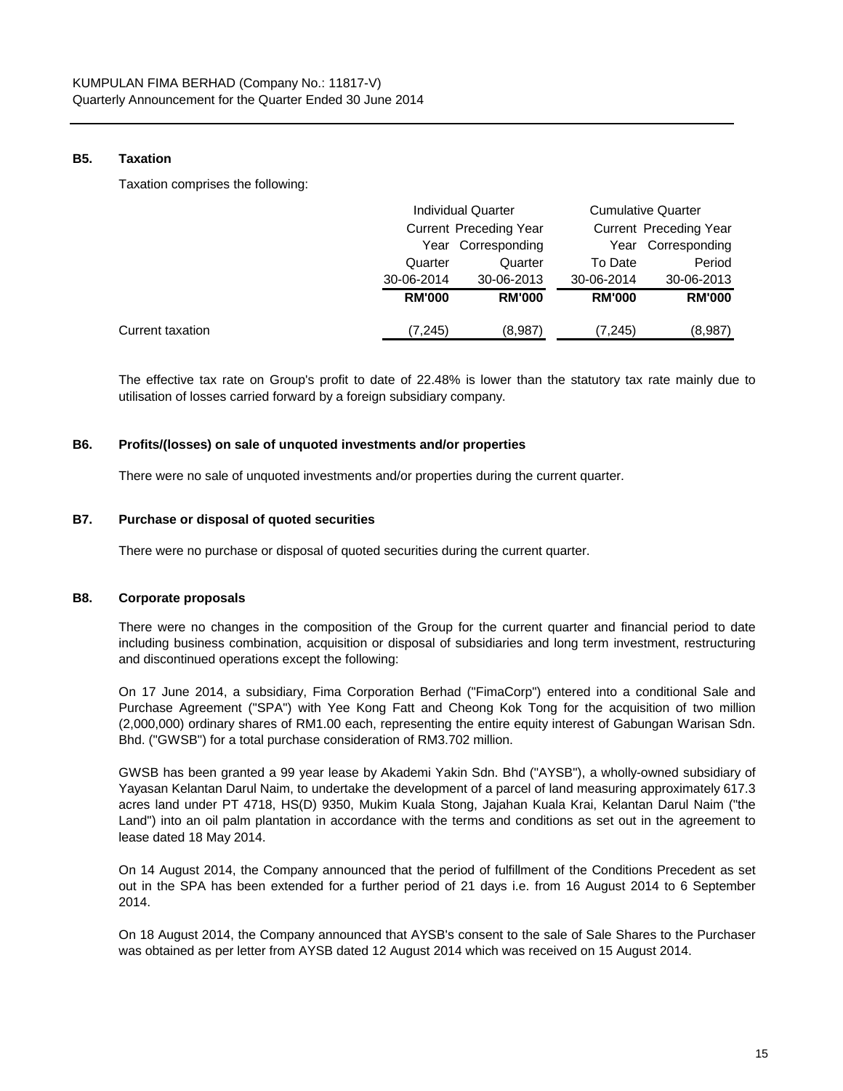#### **B5. Taxation**

Taxation comprises the following:

|                  |               | <b>Individual Quarter</b> |               | <b>Cumulative Quarter</b> |  |
|------------------|---------------|---------------------------|---------------|---------------------------|--|
|                  |               | Current Preceding Year    |               | Current Preceding Year    |  |
|                  |               | Year Corresponding        |               | Year Corresponding        |  |
|                  | Quarter       | Quarter                   | To Date       | Period                    |  |
|                  | 30-06-2014    | 30-06-2013                | 30-06-2014    | 30-06-2013                |  |
|                  | <b>RM'000</b> | <b>RM'000</b>             | <b>RM'000</b> | <b>RM'000</b>             |  |
| Current taxation | (7,245)       | (8,987)                   | (7,245)       | (8,987)                   |  |

The effective tax rate on Group's profit to date of 22.48% is lower than the statutory tax rate mainly due to utilisation of losses carried forward by a foreign subsidiary company.

#### **B6. Profits/(losses) on sale of unquoted investments and/or properties**

There were no sale of unquoted investments and/or properties during the current quarter.

## **B7. Purchase or disposal of quoted securities**

There were no purchase or disposal of quoted securities during the current quarter.

## **B8. Corporate proposals**

There were no changes in the composition of the Group for the current quarter and financial period to date including business combination, acquisition or disposal of subsidiaries and long term investment, restructuring and discontinued operations except the following:

On 17 June 2014, a subsidiary, Fima Corporation Berhad ("FimaCorp") entered into a conditional Sale and Purchase Agreement ("SPA") with Yee Kong Fatt and Cheong Kok Tong for the acquisition of two million (2,000,000) ordinary shares of RM1.00 each, representing the entire equity interest of Gabungan Warisan Sdn. Bhd. ("GWSB") for a total purchase consideration of RM3.702 million.

GWSB has been granted a 99 year lease by Akademi Yakin Sdn. Bhd ("AYSB"), a wholly-owned subsidiary of Yayasan Kelantan Darul Naim, to undertake the development of a parcel of land measuring approximately 617.3 acres land under PT 4718, HS(D) 9350, Mukim Kuala Stong, Jajahan Kuala Krai, Kelantan Darul Naim ("the Land") into an oil palm plantation in accordance with the terms and conditions as set out in the agreement to lease dated 18 May 2014.

On 14 August 2014, the Company announced that the period of fulfillment of the Conditions Precedent as set out in the SPA has been extended for a further period of 21 days i.e. from 16 August 2014 to 6 September 2014.

On 18 August 2014, the Company announced that AYSB's consent to the sale of Sale Shares to the Purchaser was obtained as per letter from AYSB dated 12 August 2014 which was received on 15 August 2014.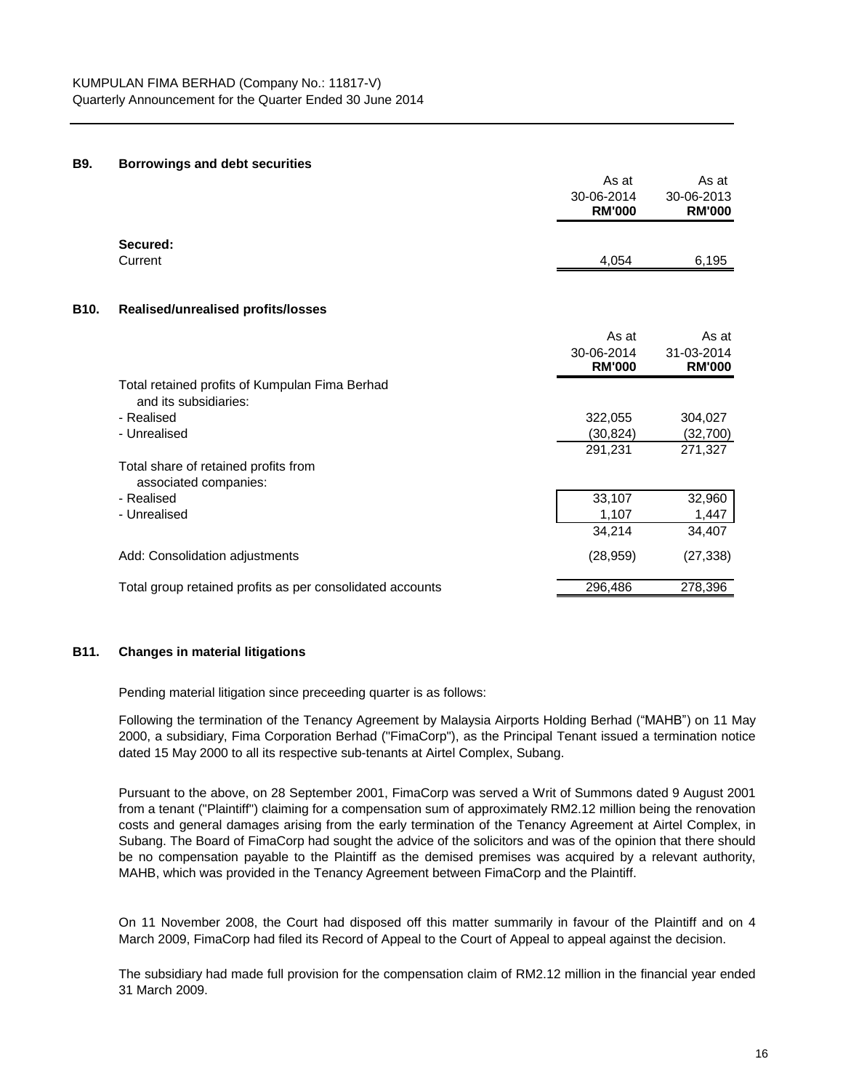#### **B9. Borrowings and debt securities**

|      |                                                                         | As at                       | As at                       |
|------|-------------------------------------------------------------------------|-----------------------------|-----------------------------|
|      |                                                                         | 30-06-2014<br><b>RM'000</b> | 30-06-2013<br><b>RM'000</b> |
|      | Secured:<br>Current                                                     | 4,054                       | 6,195                       |
|      |                                                                         |                             |                             |
| B10. | Realised/unrealised profits/losses                                      |                             |                             |
|      |                                                                         | As at                       | As at                       |
|      |                                                                         | 30-06-2014<br><b>RM'000</b> | 31-03-2014<br><b>RM'000</b> |
|      | Total retained profits of Kumpulan Fima Berhad<br>and its subsidiaries: |                             |                             |
|      | - Realised                                                              | 322,055                     | 304,027                     |
|      | - Unrealised                                                            | (30, 824)                   | (32,700)                    |
|      |                                                                         | 291,231                     | 271,327                     |
|      | Total share of retained profits from<br>associated companies:           |                             |                             |
|      | - Realised                                                              | 33,107                      | 32,960                      |
|      | - Unrealised                                                            | 1,107                       | 1,447                       |
|      |                                                                         | 34,214                      | 34,407                      |
|      | Add: Consolidation adjustments                                          | (28, 959)                   | (27, 338)                   |
|      | Total group retained profits as per consolidated accounts               | 296,486                     | 278,396                     |

#### **B11. Changes in material litigations**

Pending material litigation since preceeding quarter is as follows:

Following the termination of the Tenancy Agreement by Malaysia Airports Holding Berhad ("MAHB") on 11 May 2000, a subsidiary, Fima Corporation Berhad ("FimaCorp"), as the Principal Tenant issued a termination notice dated 15 May 2000 to all its respective sub-tenants at Airtel Complex, Subang.

Pursuant to the above, on 28 September 2001, FimaCorp was served a Writ of Summons dated 9 August 2001 from a tenant ("Plaintiff") claiming for a compensation sum of approximately RM2.12 million being the renovation costs and general damages arising from the early termination of the Tenancy Agreement at Airtel Complex, in Subang. The Board of FimaCorp had sought the advice of the solicitors and was of the opinion that there should be no compensation payable to the Plaintiff as the demised premises was acquired by a relevant authority, MAHB, which was provided in the Tenancy Agreement between FimaCorp and the Plaintiff.

On 11 November 2008, the Court had disposed off this matter summarily in favour of the Plaintiff and on 4 March 2009, FimaCorp had filed its Record of Appeal to the Court of Appeal to appeal against the decision.

The subsidiary had made full provision for the compensation claim of RM2.12 million in the financial year ended 31 March 2009.